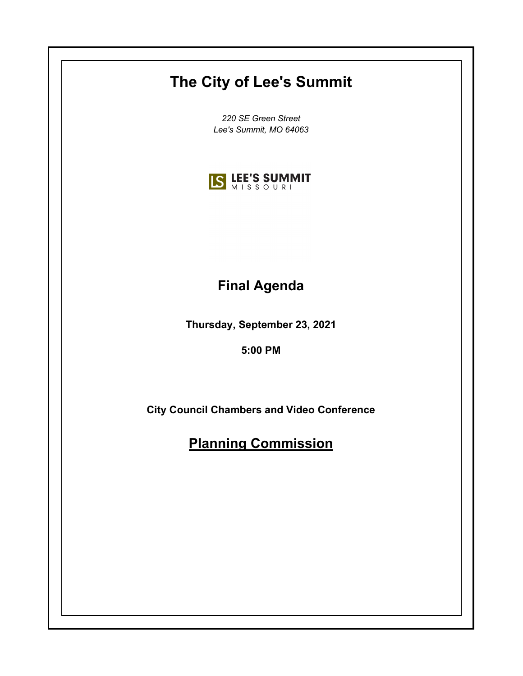| The City of Lee's Summit                          |
|---------------------------------------------------|
| 220 SE Green Street<br>Lee's Summit, MO 64063     |
| <b>IS LEE'S SUMMIT</b>                            |
|                                                   |
| <b>Final Agenda</b>                               |
| Thursday, September 23, 2021                      |
| 5:00 PM                                           |
|                                                   |
| <b>City Council Chambers and Video Conference</b> |
| <b>Planning Commission</b>                        |
|                                                   |
|                                                   |
|                                                   |
|                                                   |
|                                                   |
|                                                   |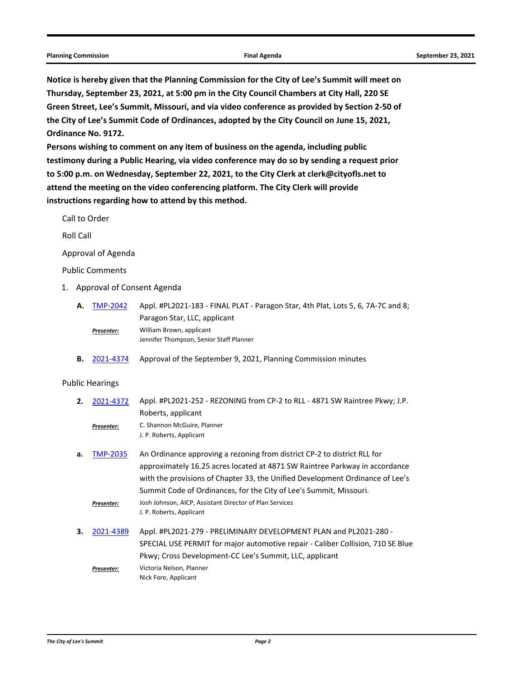**Notice is hereby given that the Planning Commission for the City of Lee's Summit will meet on Thursday, September 23, 2021, at 5:00 pm in the City Council Chambers at City Hall, 220 SE Green Street, Lee's Summit, Missouri, and via video conference as provided by Section 2-50 of the City of Lee's Summit Code of Ordinances, adopted by the City Council on June 15, 2021, Ordinance No. 9172.** 

**Persons wishing to comment on any item of business on the agenda, including public testimony during a Public Hearing, via video conference may do so by sending a request prior to 5:00 p.m. on Wednesday, September 22, 2021, to the City Clerk at clerk@cityofls.net to attend the meeting on the video conferencing platform. The City Clerk will provide instructions regarding how to attend by this method.**

Call to Order

Roll Call

Approval of Agenda

Public Comments

1. Approval of Consent Agenda

| <b>A.</b> TMP-2042 | Appl. #PL2021-183 - FINAL PLAT - Paragon Star, 4th Plat, Lots 5, 6, 7A-7C and 8; |
|--------------------|----------------------------------------------------------------------------------|
|                    | Paragon Star, LLC, applicant                                                     |
| Presenter:         | William Brown, applicant                                                         |
|                    | Jennifer Thompson, Senior Staff Planner                                          |

**B.** [2021-4374](http://lsmo.legistar.com/gateway.aspx?m=l&id=/matter.aspx?key=6976) Approval of the September 9, 2021, Planning Commission minutes

## Public Hearings

| 2. | 2021-4372  | Appl. #PL2021-252 - REZONING from CP-2 to RLL - 4871 SW Raintree Pkwy; J.P.     |
|----|------------|---------------------------------------------------------------------------------|
|    |            | Roberts, applicant                                                              |
|    | Presenter: | C. Shannon McGuire, Planner                                                     |
|    |            | J. P. Roberts, Applicant                                                        |
| a. | TMP-2035   | An Ordinance approving a rezoning from district CP-2 to district RLL for        |
|    |            | approximately 16.25 acres located at 4871 SW Raintree Parkway in accordance     |
|    |            | with the provisions of Chapter 33, the Unified Development Ordinance of Lee's   |
|    |            | Summit Code of Ordinances, for the City of Lee's Summit, Missouri.              |
|    | Presenter: | Josh Johnson, AICP, Assistant Director of Plan Services                         |
|    |            | J. P. Roberts, Applicant                                                        |
| 3. | 2021-4389  | Appl. #PL2021-279 - PRELIMINARY DEVELOPMENT PLAN and PL2021-280 -               |
|    |            | SPECIAL USE PERMIT for major automotive repair - Caliber Collision, 710 SE Blue |
|    |            | Pkwy; Cross Development-CC Lee's Summit, LLC, applicant                         |
|    | Presenter: | Victoria Nelson, Planner                                                        |
|    |            | Nick Fore, Applicant                                                            |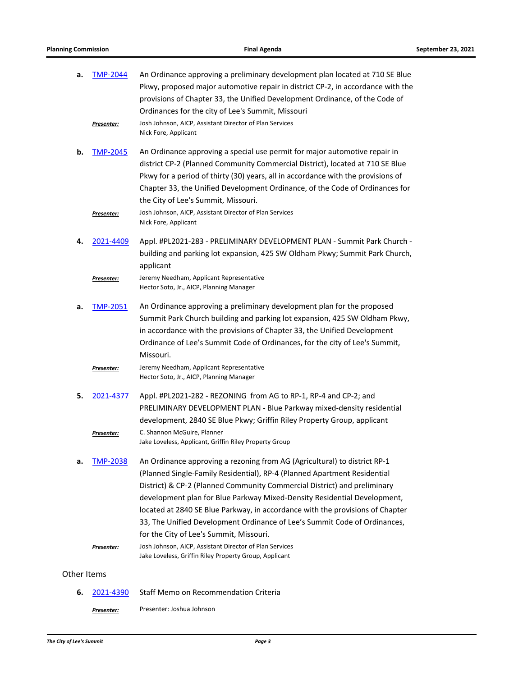| а.          | <b>TMP-2044</b><br>Presenter: | An Ordinance approving a preliminary development plan located at 710 SE Blue<br>Pkwy, proposed major automotive repair in district CP-2, in accordance with the<br>provisions of Chapter 33, the Unified Development Ordinance, of the Code of<br>Ordinances for the city of Lee's Summit, Missouri<br>Josh Johnson, AICP, Assistant Director of Plan Services                                                                                                                                                         |  |  |
|-------------|-------------------------------|------------------------------------------------------------------------------------------------------------------------------------------------------------------------------------------------------------------------------------------------------------------------------------------------------------------------------------------------------------------------------------------------------------------------------------------------------------------------------------------------------------------------|--|--|
|             |                               | Nick Fore, Applicant                                                                                                                                                                                                                                                                                                                                                                                                                                                                                                   |  |  |
| b.          | <b>TMP-2045</b>               | An Ordinance approving a special use permit for major automotive repair in<br>district CP-2 (Planned Community Commercial District), located at 710 SE Blue<br>Pkwy for a period of thirty (30) years, all in accordance with the provisions of<br>Chapter 33, the Unified Development Ordinance, of the Code of Ordinances for<br>the City of Lee's Summit, Missouri.<br>Josh Johnson, AICP, Assistant Director of Plan Services                                                                                      |  |  |
|             | Presenter:                    | Nick Fore, Applicant                                                                                                                                                                                                                                                                                                                                                                                                                                                                                                   |  |  |
| 4.          | 2021-4409                     | Appl. #PL2021-283 - PRELIMINARY DEVELOPMENT PLAN - Summit Park Church -<br>building and parking lot expansion, 425 SW Oldham Pkwy; Summit Park Church,<br>applicant                                                                                                                                                                                                                                                                                                                                                    |  |  |
|             | Presenter:                    | Jeremy Needham, Applicant Representative<br>Hector Soto, Jr., AICP, Planning Manager                                                                                                                                                                                                                                                                                                                                                                                                                                   |  |  |
| а.          | TMP-2051                      | An Ordinance approving a preliminary development plan for the proposed<br>Summit Park Church building and parking lot expansion, 425 SW Oldham Pkwy,<br>in accordance with the provisions of Chapter 33, the Unified Development<br>Ordinance of Lee's Summit Code of Ordinances, for the city of Lee's Summit,<br>Missouri.                                                                                                                                                                                           |  |  |
|             | Presenter:                    | Jeremy Needham, Applicant Representative<br>Hector Soto, Jr., AICP, Planning Manager                                                                                                                                                                                                                                                                                                                                                                                                                                   |  |  |
| 5.          | 2021-4377                     | Appl. #PL2021-282 - REZONING from AG to RP-1, RP-4 and CP-2; and<br>PRELIMINARY DEVELOPMENT PLAN - Blue Parkway mixed-density residential<br>development, 2840 SE Blue Pkwy; Griffin Riley Property Group, applicant                                                                                                                                                                                                                                                                                                   |  |  |
|             | Presenter:                    | C. Shannon McGuire, Planner<br>Jake Loveless, Applicant, Griffin Riley Property Group                                                                                                                                                                                                                                                                                                                                                                                                                                  |  |  |
| а.          | <u>TMP-2038</u>               | An Ordinance approving a rezoning from AG (Agricultural) to district RP-1<br>(Planned Single-Family Residential), RP-4 (Planned Apartment Residential<br>District) & CP-2 (Planned Community Commercial District) and preliminary<br>development plan for Blue Parkway Mixed-Density Residential Development,<br>located at 2840 SE Blue Parkway, in accordance with the provisions of Chapter<br>33, The Unified Development Ordinance of Lee's Summit Code of Ordinances,<br>for the City of Lee's Summit, Missouri. |  |  |
|             | <u>Presenter:</u>             | Josh Johnson, AICP, Assistant Director of Plan Services<br>Jake Loveless, Griffin Riley Property Group, Applicant                                                                                                                                                                                                                                                                                                                                                                                                      |  |  |
| Other Items |                               |                                                                                                                                                                                                                                                                                                                                                                                                                                                                                                                        |  |  |

**6.** [2021-4390](http://lsmo.legistar.com/gateway.aspx?m=l&id=/matter.aspx?key=6994) Staff Memo on Recommendation Criteria

*Presenter:* Presenter: Joshua Johnson